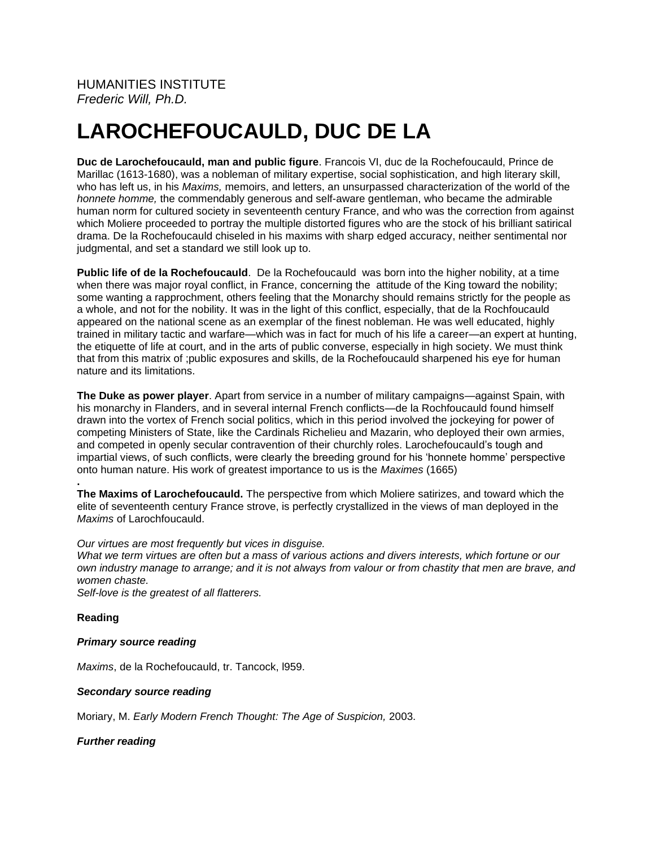# **LAROCHEFOUCAULD, DUC DE LA**

**Duc de Larochefoucauld, man and public figure**. Francois VI, duc de la Rochefoucauld, Prince de Marillac (1613-1680), was a nobleman of military expertise, social sophistication, and high literary skill, who has left us, in his *Maxims,* memoirs, and letters, an unsurpassed characterization of the world of the *honnete homme,* the commendably generous and self-aware gentleman, who became the admirable human norm for cultured society in seventeenth century France, and who was the correction from against which Moliere proceeded to portray the multiple distorted figures who are the stock of his brilliant satirical drama. De la Rochefoucauld chiseled in his maxims with sharp edged accuracy, neither sentimental nor judgmental, and set a standard we still look up to.

**Public life of de la Rochefoucauld**. De la Rochefoucauld was born into the higher nobility, at a time when there was major royal conflict, in France, concerning the attitude of the King toward the nobility; some wanting a rapprochment, others feeling that the Monarchy should remains strictly for the people as a whole, and not for the nobility. It was in the light of this conflict, especially, that de la Rochfoucauld appeared on the national scene as an exemplar of the finest nobleman. He was well educated, highly trained in military tactic and warfare—which was in fact for much of his life a career—an expert at hunting, the etiquette of life at court, and in the arts of public converse, especially in high society. We must think that from this matrix of ;public exposures and skills, de la Rochefoucauld sharpened his eye for human nature and its limitations.

**The Duke as power player**. Apart from service in a number of military campaigns—against Spain, with his monarchy in Flanders, and in several internal French conflicts—de la Rochfoucauld found himself drawn into the vortex of French social politics, which in this period involved the jockeying for power of competing Ministers of State, like the Cardinals Richelieu and Mazarin, who deployed their own armies, and competed in openly secular contravention of their churchly roles. Larochefoucauld's tough and impartial views, of such conflicts, were clearly the breeding ground for his 'honnete homme' perspective onto human nature. His work of greatest importance to us is the *Maximes* (1665)

**. The Maxims of Larochefoucauld.** The perspective from which Moliere satirizes, and toward which the elite of seventeenth century France strove, is perfectly crystallized in the views of man deployed in the *Maxims* of Larochfoucauld.

#### *Our virtues are most frequently but vices in disguise.*

*What we term virtues are often but a mass of various actions and divers interests, which fortune or our own industry manage to arrange; and it is not always from valour or from chastity that men are brave, and women chaste.*

*Self-love is the greatest of all flatterers.*

## **Reading**

#### *Primary source reading*

*Maxims*, de la Rochefoucauld, tr. Tancock, l959.

#### *Secondary source reading*

Moriary, M. *Early Modern French Thought: The Age of Suspicion,* 2003.

*Further reading*